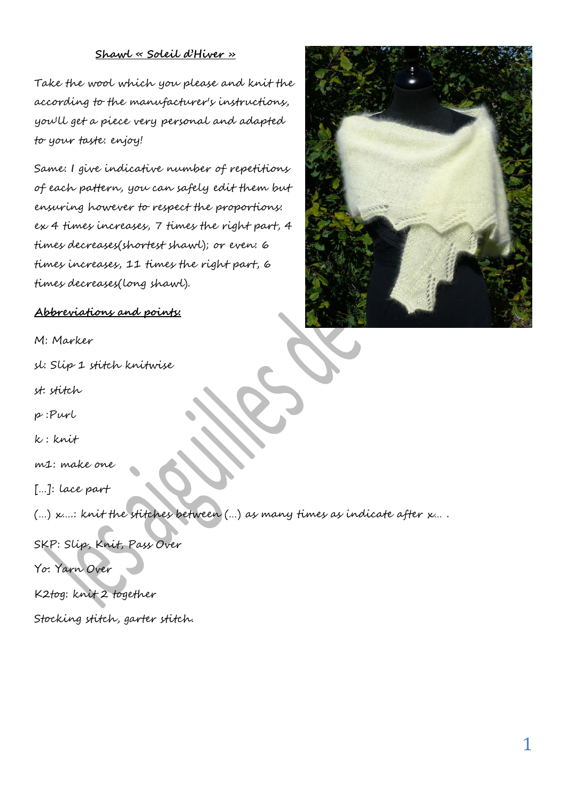## **Shawl « Soleil d'Hiver »**

Take the wool which you please and knit the according to the manufacturer's instructions, you'll get a piece very personal and adapted to your taste: enjoy!

Same: I give indicative number of repetitions of each pattern, you can safely edit them but ensuring however to respect the proportions: ex 4 times increases, 7 times the right part, 4 times decreases(shortest shawl); or even: 6 times increases, 11 times the right part, 6 times decreases(long shawl).



# **Abbreviations and points:**

M: Marker

sl: Slip 1 stitch knitwise

st: stitch

p :Purl

k : knit

m1: make one

[…]: lace part

(…) x….: knit the stitches between (…) as many times as indicate after x… .

SKP: Slip, Knit, Pass Over

Yo: Yarn Over

K2tog: knit 2 together

Stocking stitch, garter stitch.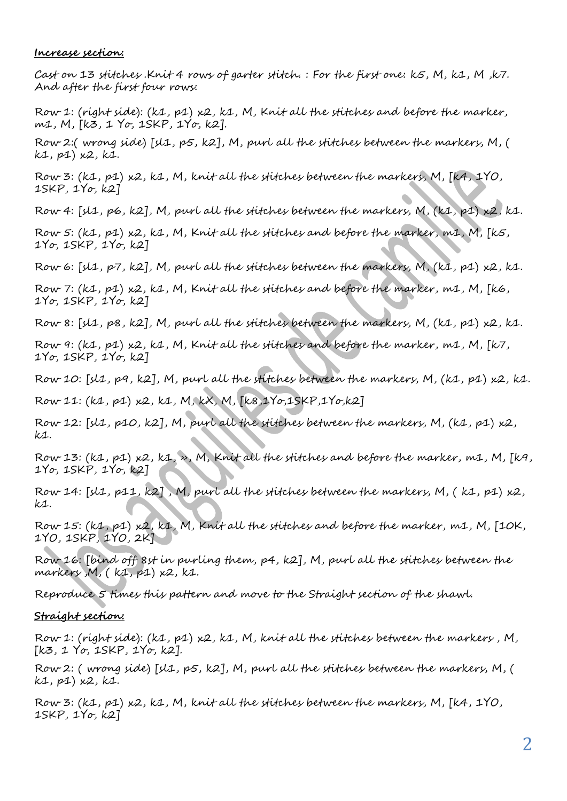#### **Increase section:**

Cast on 13 stitches .Knit 4 rows of garter stitch. : For the first one: k5, M, k1, M ,k7. And after the first four rows:

Row 1: (right side): (k1, p1) x2, k1, M, Knit all the stitches and before the marker, m1, M, [k3, 1 Yo, 1SKP, 1Yo, k2].

Row 2:( wrong side) [sl1, p5, k2], M, purl all the stitches between the markers, M, ( k1, p1) x2, k1.

Row 3:  $(k1, p1)$  x2, k1, M, knit all the stitches between the markers, M, [k4, 1YO, 1SKP, 1Yo, k2]

Row 4: [sl1, p6, k2], M, purl all the stitches between the markers, M, (k1, p1) x2, k1.

Row 5: (k1, p1) x2, k1, M, Knit all the stitches and before the marker, m1, M, [k5, 1Yo, 1SKP, 1Yo, k2]

Row 6: [sl1, p7, k2], M, purl all the stitches between the markers, M, (k1, p1) x2, k1.

Row 7: (k1, p1) x2, k1, M, Knit all the stitches and before the marker, m1, M, [k6, 1Yo, 1SKP, 1Yo, k2]

Row 8: [sl1, p8, k2], M, purl all the stitches between the markers, M, (k1, p1) x2, k1.

Row 9: (k1, p1) x2, k1, M, Knit all the stitches and before the marker, m1, M, [k7, 1Yo, 1SKP, 1Yo, k2]

Row 10: [sl1, p9, k2], M, purl all the stitches between the markers, M, (k1, p1) x2, k1.

Row 11: (k1, p1) x2, k1, M, kX, M, [k8,1Yo,1SKP,1Yo,k2]

Row 12: [sl1, p10, k2], M, purl all the stitches between the markers, M, (k1, p1) x2,  $k_{\mathcal{1}}$ .

Row 13: (k1, p1) x2, k1, », M, Knit all the stitches and before the marker, m1, M, [k9, 1Yo, 1SKP, 1Yo, k2]

Row 14: [sl1, p11, k2], M, purl all the stitches between the markers, M, (k1, p1) x2, k1.

Row 15: (k1, p1) x2, k1, M, Knit all the stitches and before the marker, m1, M, [10K, 1YO, 1SKP, 1YO, 2K]

Row 16: [bind off 8st in purling them, p4, k2], M, purl all the stitches between the  $markers$ ,  $M$ ,  $(k1, p1)$   $k2$ ,  $k1$ .

Reproduce 5 times this pattern and move to the Straight section of the shawl.

## **Straight section:**

Row 1: (right side): (k1, p1) x2, k1, M, knit all the stitches between the markers , M, [k3, 1 Yo, 1SKP, 1Yo, k2].

Row 2: ( wrong side) [sl1, p5, k2], M, purl all the stitches between the markers, M, ( k1, p1) x2, k1.

Row 3: (k1, p1) x2, k1, M, knit all the stitches between the markers, M, [k4, 1YO, 1SKP, 1Yo, k2]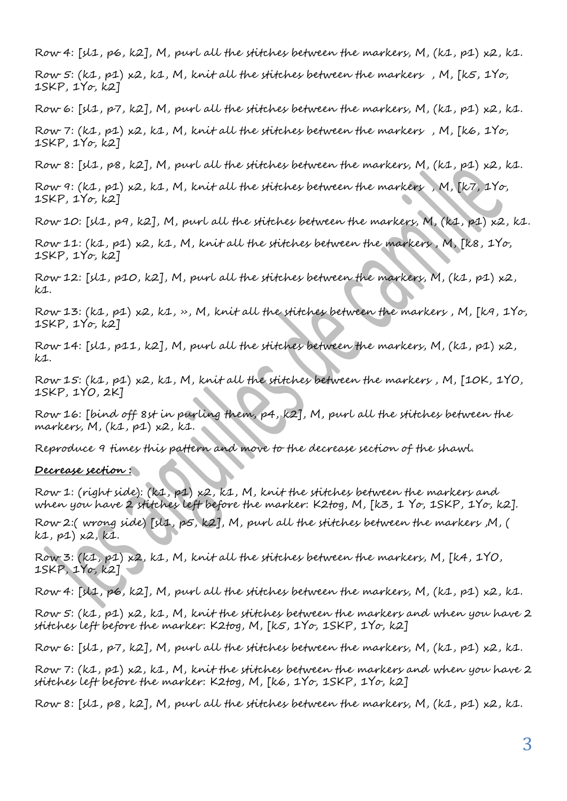Row 4: [sl1, p6, k2], M, purl all the stitches between the markers, M, (k1, p1) x2, k1.

Row 5: (k1, p1) x2, k1, M, knit all the stitches between the markers , M, [k5, 1Yo, 1SKP, 1Yo, k2]

Row 6: [sl1, p7, k2], M, purl all the stitches between the markers, M, (k1, p1) x2, k1.

Row 7: (k1, p1) x2, k1, M, knit all the stitches between the markers , M, [k6, 1Yo, 1SKP, 1Yo, k2]

Row 8:  $[31, p8, k2]$ , M, purl all the stitches between the markers, M,  $(k1, p1)$  x2, k1.

Row 9: (k1, p1) x2, k1, M, knit all the stitches between the markers , M, [k7, 1Yo, 1SKP, 1Yo, k2]

Row 10: [sl1, p9, k2], M, purl all the stitches between the markers, M, (k1, p1) x2, k1.

Row 11: (k1, p1) x2, k1, M, knit all the stitches between the markers , M, [k8, 1Yo, 1SKP, 1Yo, k2]

Row 12: [sl1, p10, k2], M, purl all the stitches between the markers, M, (k1, p1) x2, k1.

Row 13:  $(k1, p1)$   $k2$ ,  $k1$ ,  $\rightarrow$ , M, knit all the stitches between the markers, M, [ $k4$ , 1 $Y\sigma$ , 1SKP, 1Yo, k2]

Row 14: [sl1, p11, k2], M, purl all the stitches between the markers, M, (k1, p1) x2,  $k_{\mathcal{1}}$ .

Row 15: (k1, p1) x2, k1, M, knit all the stitches between the markers , M, [10K, 1YO, 1SKP, 1YO, 2K]

Row 16: [bind off 8st in purling them, p4, k2], M, purl all the stitches between the markers,  $M$ ,  $(k1, p1)$   $k2$ ,  $k1$ .

Reproduce 9 times this pattern and move to the decrease section of the shawl.

### **Decrease section :**

Row 1: (right side): (k1, p1) x2, k1, M, knit the stitches between the markers and when you have 2 stitches left before the marker: K2tog, M, [k3, 1 Yo, 1SKP, 1Yo, k2].

Row 2:( wrong side) [sl1, p5, k2], M, purl all the stitches between the markers ,M, ( k1, p1) x2, k1.

Row 3: (k1, p1) x2, k1, M, knit all the stitches between the markers, M, [k4, 1YO, 1SKP, 1Yo, k2]

Row 4: [sl1, p6, k2], M, purl all the stitches between the markers, M, (k1, p1) x2, k1.

Row 5: (k1, p1) x2, k1, M, knit the stitches between the markers and when you have 2 stitches left before the marker: K2tog, M, [k5, 1Yo, 1SKP, 1Yo, k2]

Row 6:  $[31, p7, k2]$ , M, purl all the stitches between the markers, M,  $(k1, p1)$  x2, k1.

Row 7: (k1, p1) x2, k1, M, knit the stitches between the markers and when you have 2 stitches left before the marker: K2tog, M, [k6, 1Yo, 1SKP, 1Yo, k2]

Row 8:  $[sl1, ps, k2]$ , M, purl all the stitches between the markers, M,  $(k1, p1)$  x2, k1.